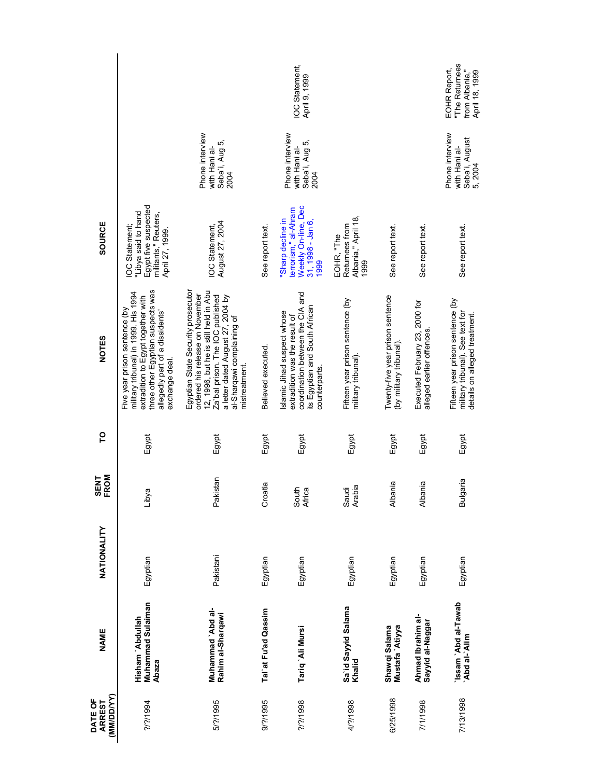| (MM/DD/YY)<br><b>DATE OF</b><br><b>ARREST</b> | NAME                                                  | NATIONALITY | SENT<br>FROM    | ဥ     | <b>NOTES</b>                                                                                                                                                                                                                           | SOURCE                                                                                                          |                                                               |                                                                    |
|-----------------------------------------------|-------------------------------------------------------|-------------|-----------------|-------|----------------------------------------------------------------------------------------------------------------------------------------------------------------------------------------------------------------------------------------|-----------------------------------------------------------------------------------------------------------------|---------------------------------------------------------------|--------------------------------------------------------------------|
| <b>5661/2/2</b>                               | Muhammad Sulaiman<br>Hisham `Abdullah<br><b>Abaza</b> | Egyptian    | Libya           | Egypt | three other Egyptian suspects was<br>military tribunal) in 1999. His 1994<br>extradition to Egypt together with<br>Five year prison sentence (by<br>allegedly part of a dissidents'<br>exchange deal.                                  | Egypt five suspected<br>"Libya said to hand<br>militants," Reuters,<br><b>IOC</b> Statement:<br>April 27, 1999. |                                                               |                                                                    |
| 5/?/1995                                      | Muhammad `Abd al-<br>Rahim al-Sharqawi                | Pakistani   | Pakistan        | Egypt | Egyptian State Security prosecutor<br>12, 1996, but he is still held in Abu<br>ordered his release on November<br>Za'bal prison. The IOC published<br>a letter dated August 27, 2004 by<br>al-Sharqawi complaining of<br>mistreatment. | August 27, 2004<br><b>IOC</b> Statement,                                                                        | Phone interview<br>Seba'i, Aug 5,<br>with Hani al-<br>2004    |                                                                    |
| 9/?/1995                                      | Tal'at Fu'ad Qassim                                   | Egyptian    | Croatia         | Egypt | Believed executed                                                                                                                                                                                                                      | See report text.                                                                                                |                                                               |                                                                    |
| 3661/2/2                                      | Tariq `Ali Mursi                                      | Egyptian    | South<br>Africa | Egypt | coordination between the CIA and<br>its Egyptian and South African<br>slamic Jihad suspect whose<br>extradition was the result of<br>counterparts.                                                                                     | Weekly On-line, Dec<br>terrorism," al-Ahram<br>"Sharp decline in<br>31, 1998 - Jan 6,<br>1999                   | Phone interview<br>Seba'i, Aug 5,<br>with Hani al-<br>2004    | IOC Statement,<br>April 9, 1999                                    |
| 4/?/1998                                      | Sa'id Sayyid Salama<br>Khalid                         | Egyptian    | Saudi<br>Arabia | Egypt | Fifteen year prison sentence (by<br>military tribunal).                                                                                                                                                                                | Albania," April 18,<br>Returnees from<br>EOHR, "The<br>1999                                                     |                                                               |                                                                    |
| 6/25/1998                                     | Mustafa `Atiyya<br>Shawqi Salama                      | Egyptian    | Albania         | Egypt | Twenty-five year prison sentence<br>(by military tribunal).                                                                                                                                                                            | See report text.                                                                                                |                                                               |                                                                    |
| 7/1/1998                                      | Ahmad Ibrahim al-<br>Sayyid al-Naggar                 | Egyptian    | Albania         | Egypt | Executed February 23, 2000 for<br>alleged earlier offences.                                                                                                                                                                            | See report text                                                                                                 |                                                               |                                                                    |
| 7/13/1998                                     | dswsT-ls bdA' msasl<br>"Abd al-'Alim                  | Egyptian    | <b>Bulgaria</b> | Egypt | Fifteen year prison sentence (by<br>military tribunal). See text for<br>details on alleged treatment.                                                                                                                                  | See report text.                                                                                                | Phone interview<br>Seba`i, August<br>5, 2004<br>with Hani al- | "The Returnees<br>EOHR Report,<br>from Albania,"<br>April 18, 1999 |
|                                               |                                                       |             |                 |       |                                                                                                                                                                                                                                        |                                                                                                                 |                                                               |                                                                    |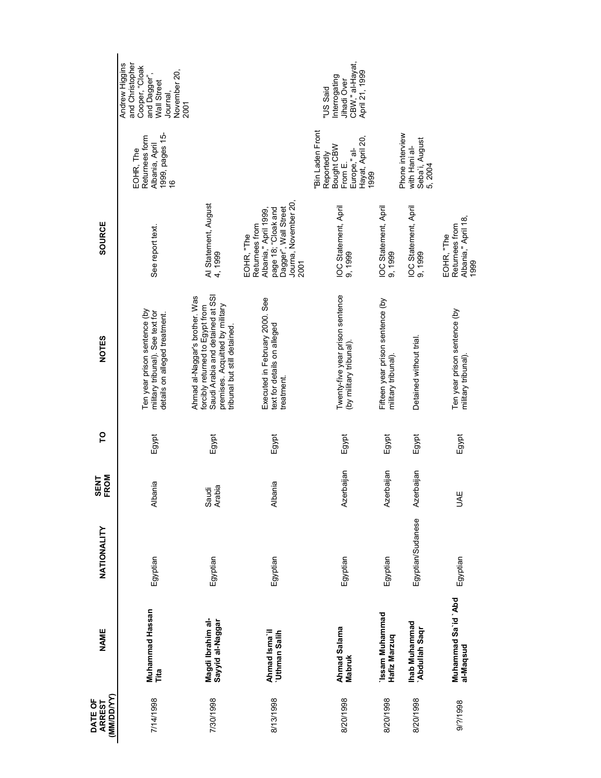|                                        | and Christopher<br>Andrew Higgins<br>Cooper, "Cloak<br>November 20,<br>and Dagger",<br>Wall Street<br>Journal,<br>2001 |                                                                                                                                                                          |                                                                                                                                      | CBW," al-Hayat,<br>April 21, 1999<br>Interrogating<br>Jihadi Over<br>"US Said                       |                                                         |                                                               |                                                             |
|----------------------------------------|------------------------------------------------------------------------------------------------------------------------|--------------------------------------------------------------------------------------------------------------------------------------------------------------------------|--------------------------------------------------------------------------------------------------------------------------------------|-----------------------------------------------------------------------------------------------------|---------------------------------------------------------|---------------------------------------------------------------|-------------------------------------------------------------|
|                                        | 1999, pages 15-<br>16<br>Returnees form<br>Albania, April<br>EOHR, The                                                 |                                                                                                                                                                          |                                                                                                                                      | "Bin Laden Front<br>Hayat, April 20,<br>Bought CBW<br>Europe," al-<br>Reportedly<br>From E.<br>1999 |                                                         | Phone interview<br>Seba`i, August<br>5, 2004<br>with Hani al- |                                                             |
| SOURCE                                 | See report text.                                                                                                       | Al Statement, August<br>4, 1999                                                                                                                                          | Journa, November 20,<br>Dagger", Wall Street<br>page 18; "Cloak and<br>Albania," April 1999,<br>Returnees from<br>EOHR, "The<br>2001 | IOC Statement, April<br>9,1999                                                                      | IOC Statement, April<br>9,1999                          | IOC Statement, April<br>9, 1999                               | Albania," April 18,<br>Returnees from<br>EOHR, "The<br>1999 |
| <b>NOTES</b>                           | Ten year prison sentence (by<br>military tribunal). See text for<br>details on alleged treatment.                      | Saudi Arabia and detained at SSI<br>Ahmad al-Naggar's brother. Was<br>forcibly returned to Egypt from<br>premises. Acquitted by military<br>tribunal but still detained. | Executed in February 2000. See<br>text for details on alleged<br>treatment.                                                          | Twenty-five year prison sentence<br>(by military tribunal).                                         | Fifteen year prison sentence (by<br>military tribunal). | Detained without trial                                        | Ten year prison sentence (by<br>military tribunal).         |
| p                                      | Egypt                                                                                                                  | Egypt                                                                                                                                                                    | Egypt                                                                                                                                | Egypt                                                                                               | Egypt                                                   | Egypt                                                         | Egypt                                                       |
| SENT<br>FROM                           | Albania                                                                                                                | Arabia<br>Saudi                                                                                                                                                          | Albania                                                                                                                              | Azerbaijan                                                                                          | ijan<br>Azerba                                          | Azerbaijan                                                    | <b>JAE</b>                                                  |
| NATIONALITY                            | Egyptian                                                                                                               | Egyptian                                                                                                                                                                 | Egyptian                                                                                                                             | Egyptian                                                                                            | Egyptian                                                | Egyptian/Sudanese                                             | Egyptian                                                    |
| NAME                                   | Muhammad Hassan<br>Tita                                                                                                | Magdi Ibrahim al-<br>Sayyid al-Naggar                                                                                                                                    | Ahmad Isma'il<br>'Uthman Salih                                                                                                       | Ahmad Salama<br>Mabruk                                                                              | <b>Issam Muhammad</b><br>Hafiz Marzuq                   | <b>Ihab Muhammad</b><br>Abdullah Saqr                         | Muhammad Sa'id `Abd<br>al-Maqsud                            |
| (MM/DD/YY)<br>DATE OF<br><b>ARREST</b> | 7/14/1998                                                                                                              | 7/30/1998                                                                                                                                                                | 8/13/1998                                                                                                                            | 8/20/1998                                                                                           | 8/20/1998                                               | 8/20/1998                                                     | 9/?/1998                                                    |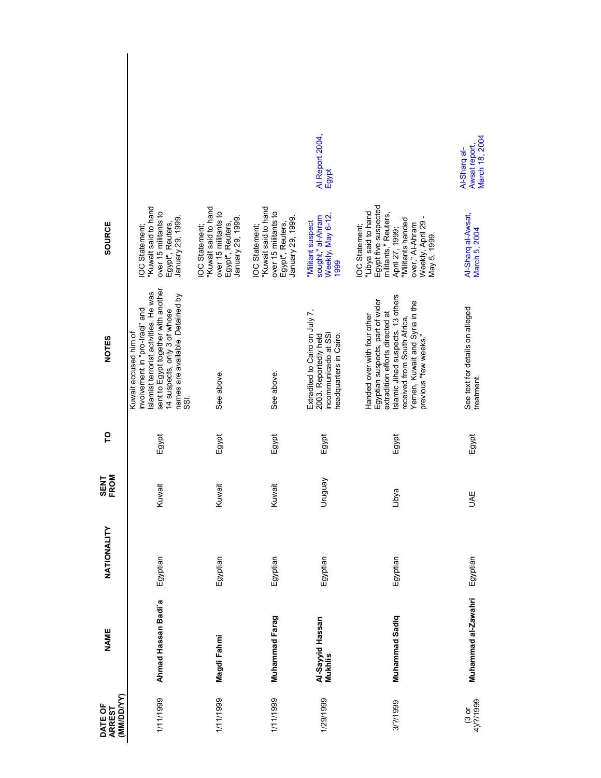|                                        |                                                                                                                                                                                                                    |                                                                                                        |                                                                                                              | AI Report 2004,<br>Egypt                                                                                  |                                                                                                                                                                                                                                   | March 18, 2004<br>Awsat report,<br>Al-Sharq al- |
|----------------------------------------|--------------------------------------------------------------------------------------------------------------------------------------------------------------------------------------------------------------------|--------------------------------------------------------------------------------------------------------|--------------------------------------------------------------------------------------------------------------|-----------------------------------------------------------------------------------------------------------|-----------------------------------------------------------------------------------------------------------------------------------------------------------------------------------------------------------------------------------|-------------------------------------------------|
| SOURCE                                 | "Kuwait said to hand<br>over 15 militants to<br>January 29, 1999.<br>Egypt", Reuters,<br>OC Statement;                                                                                                             | "Kuwait said to hand<br>over 15 militants to<br>January 29, 1999.<br>Egypt", Reuters,<br>OC Statement; | "Kuwait said to hand<br>over 15 militants to<br>January 29, 1999<br>Egypt", Reuters,<br><b>OC</b> Statement; | Weekly, May 6-12,<br>sought," al-Ahram<br>"Militant suspect<br>1999                                       | Egypt five suspected<br>militants," Reuters,<br>"Libya said to hand<br>"Militants handed<br>Weekly, April 29<br>over," Al-Ahram<br>OC Statement:<br>April 27, 1999;<br>May 5, 1999.                                               | Al-Sharq al-Awsat,<br>March 5, 2004             |
| <b>NOTES</b>                           | sent to Egypt together with another<br>slamist terrorist activities. He was<br>names are available. Detained by<br>involvement in "pro-Iraqi" and<br>14 suspects, only 3 of whose<br>Kuwait accused him of<br>SSI, | See above.                                                                                             | See above.                                                                                                   | Extradited to Cairo on July 7,<br>incommunicado at SSI<br>2003. Reportedly held<br>headquarters in Cairo. | Islamic Jihad suspects. 13 others<br>Egyptian suspects, part of wider<br>Yemen, Kuwait and Syria in the<br>extradition efforts directed at<br>Handed over with four other<br>received from South Africa,<br>previous "few weeks." | See text for details on alleged<br>treatment.   |
| p                                      | Egypt                                                                                                                                                                                                              | Egypt                                                                                                  | Egypt                                                                                                        | Egypt                                                                                                     | Egypt                                                                                                                                                                                                                             | Egypt                                           |
| FROM<br><b>SENT</b>                    | Kuwait                                                                                                                                                                                                             | Kuwait                                                                                                 | Kuwait                                                                                                       | Ven6nu                                                                                                    | Libya                                                                                                                                                                                                                             | <b>UAE</b>                                      |
| NATIONALITY                            | Egyptian                                                                                                                                                                                                           | Egyptian                                                                                               | Egyptian                                                                                                     | Egyptian                                                                                                  | Egyptian                                                                                                                                                                                                                          | Egyptian                                        |
| NAME                                   | Ahmad Hassan Badi'a                                                                                                                                                                                                | Magdi Fahmi                                                                                            | Muhammad Farag                                                                                               | Al-Sayyid Hassan<br>Mukhlis                                                                               | Muhammad Sadiq                                                                                                                                                                                                                    | Muhammad al-Zawahri                             |
| (MM/DD/YY)<br>DATE OF<br><b>ARREST</b> | 1/11/1999                                                                                                                                                                                                          | 1/11/1999                                                                                              | 1/11/1999                                                                                                    | 1/29/1999                                                                                                 | 3/?/1999                                                                                                                                                                                                                          | 4)/?/1999<br>$(3 \text{ or }$                   |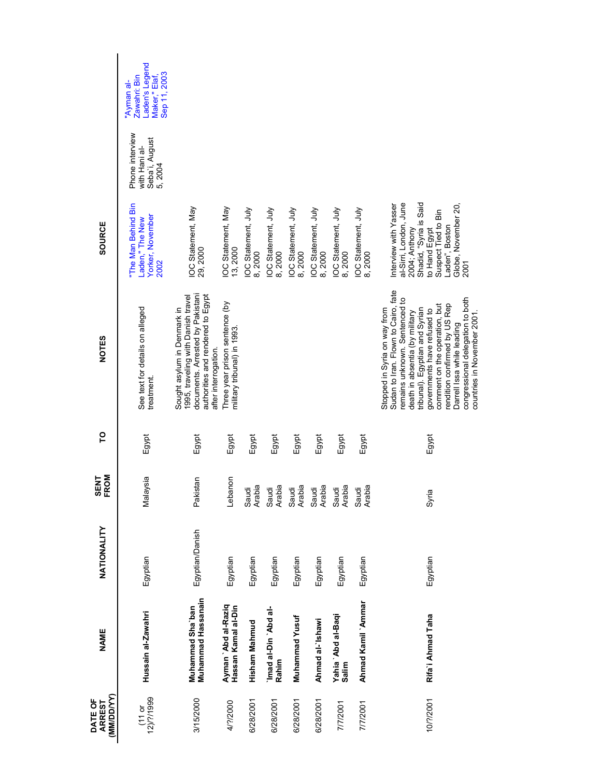| (MM/DD/YY)<br>DATE OF<br><b>ARREST</b> | NAME                                       | NATIONALITY     | SENT<br>FROM    | ဥ     | <b>NOTES</b>                                                                                                                                                                                                                                                                                                                                                              | SOURCE                                                                                                                                                                              |                                                               |                                                                               |
|----------------------------------------|--------------------------------------------|-----------------|-----------------|-------|---------------------------------------------------------------------------------------------------------------------------------------------------------------------------------------------------------------------------------------------------------------------------------------------------------------------------------------------------------------------------|-------------------------------------------------------------------------------------------------------------------------------------------------------------------------------------|---------------------------------------------------------------|-------------------------------------------------------------------------------|
| 12)/?/1999<br>$(11$ or                 | Hussain al-Zawahri                         | Egyptian        | Malaysia        | Egypt | See text for details on alleged<br>treatment.                                                                                                                                                                                                                                                                                                                             | 'The Man Behind Bin<br>Yorker, November<br>Laden," The New<br>2002                                                                                                                  | Phone interview<br>Seba`i, August<br>5, 2004<br>with Hani al- | Laden's Legend<br>Sep 11, 2003<br>Maker," Elaf,<br>Zawahri: Bin<br>-ls nsmyA' |
| 3/15/2000                              | Muhammad Hassanain<br>Muhammad Sha`ban     | Egyptian/Danish | Pakistan        | Egypt | documents. Arrested by Pakistani<br>authorities and rendered to Egypt<br>1995, traveling with Danish travel<br>Sought asylum in Denmark in<br>after interrogation.                                                                                                                                                                                                        | IOC Statement, May<br>29,2000                                                                                                                                                       |                                                               |                                                                               |
| 4/?/2000                               | Ayman `Abd al-Raziq<br>Hassan Kamal al-Din | Egyptian        | Lebanon         | Egypt | Three year prison sentence (by<br>military tribunal) in 1993                                                                                                                                                                                                                                                                                                              | IOC Statement, May<br>13,2000                                                                                                                                                       |                                                               |                                                                               |
| 6/28/2001                              | Hisham Mahmud                              | Egyptian        | Saudi<br>Arabia | Egypt |                                                                                                                                                                                                                                                                                                                                                                           | IOC Statement, July<br>8, 2000                                                                                                                                                      |                                                               |                                                                               |
| 6/28/2001                              | -lmad al-Din Abd al-<br>Rahim              | Egyptian        | Saudi<br>Arabia | Egypt |                                                                                                                                                                                                                                                                                                                                                                           | IOC Statement, July<br>8, 2000                                                                                                                                                      |                                                               |                                                                               |
| 6/28/2001                              | Muhammad Yusuf                             | Egyptian        | Arabia<br>Saudi | Egypt |                                                                                                                                                                                                                                                                                                                                                                           | IOC Statement, July<br>8, 2000                                                                                                                                                      |                                                               |                                                                               |
| 6/28/2001                              | Ahmad al-'Ishawi                           | Egyptian        | Saudi<br>Arabia | Egypt |                                                                                                                                                                                                                                                                                                                                                                           | IOC Statement, July<br>8,2000                                                                                                                                                       |                                                               |                                                                               |
| 7/7/2001                               | Yahia `Abd al-Baqi<br>Salim                | Egyptian        | Saudi<br>Arabia | Egypt |                                                                                                                                                                                                                                                                                                                                                                           | IOC Statement, July<br>8,2000                                                                                                                                                       |                                                               |                                                                               |
| 7/7/2001                               | Ahmad Kamil `Ammar                         | Egyptian        | Arabia<br>Saudi | Egypt |                                                                                                                                                                                                                                                                                                                                                                           | IOC Statement, July<br>8,2000                                                                                                                                                       |                                                               |                                                                               |
| 10/?/2001                              | Rifa'i Ahmad Taha                          | Egyptian        | Syria           | Egypt | Sudan to Iran. Flown to Cairo, fate<br>emains unknown. Sentenced to<br>congressional delegation to both<br>comment on the operation, but<br>rendition confirmed by US Rep<br>Stopped in Syria on way from<br>tribunal). Egyptian and Syrian<br>governments have refused to<br>death in absentia (by military<br>countries in November 2001.<br>Darrell Issa while leading | al-Sirri, London, June<br>Shadid, "Syria is Said<br>Interview with Yasser<br>Globe, November 20,<br>Suspect Tied to Bin<br>Laden", Boston<br>2004; Anthony<br>to Hand Egypt<br>2001 |                                                               |                                                                               |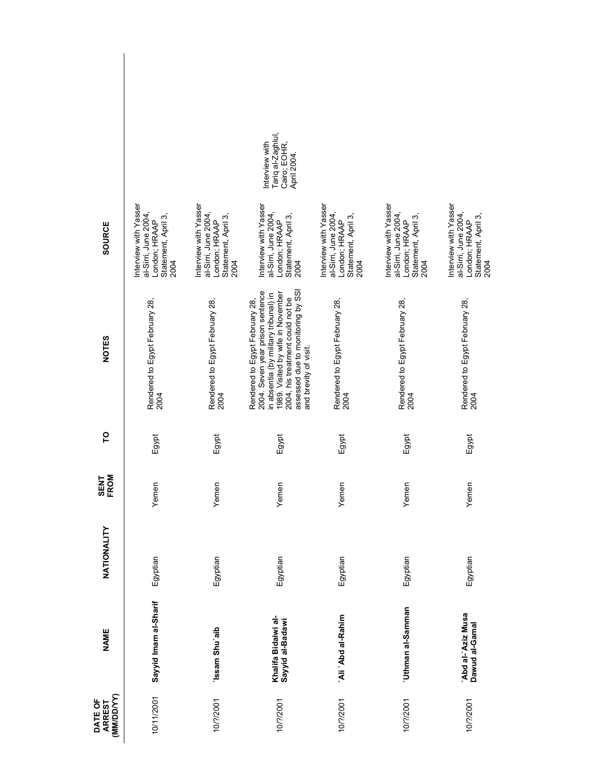|                                        |                                                                                               |                                                                                               | Tariq al-Zaghlul,<br>Interview with<br>Cairo; EOHR,<br>April 2004.                                                                                                                                                                                 |                                                                                              |                                                                                              |                                                                                             |
|----------------------------------------|-----------------------------------------------------------------------------------------------|-----------------------------------------------------------------------------------------------|----------------------------------------------------------------------------------------------------------------------------------------------------------------------------------------------------------------------------------------------------|----------------------------------------------------------------------------------------------|----------------------------------------------------------------------------------------------|---------------------------------------------------------------------------------------------|
| SOURCE                                 | Interview with Yasser<br>al-Sirri, June 2004,<br>Statement, April 3,<br>London; HRAAP<br>2004 | Interview with Yasser<br>al-Sirri, June 2004,<br>Statement, April 3,<br>London; HRAAP<br>2004 | Interview with Yasser<br>al-Sirri, June 2004,<br>Statement, April 3,<br>London; HRAAP<br>2004                                                                                                                                                      | nterview with Yasser<br>al-Sirri, June 2004,<br>Statement, April 3,<br>London; HRAAP<br>2004 | nterview with Yasser<br>al-Sirri, June 2004,<br>Statement, April 3,<br>London; HRAAP<br>2004 | nterview with Yasser<br>al-Sirri, June 2004,<br>Statement, April 3<br>London; HRAAP<br>2004 |
| <b>NOTES</b>                           | Rendered to Egypt February 28,<br>2004                                                        | Rendered to Egypt February 28,<br>2004                                                        | assessed due to monitoring by SSI<br>2004. Seven year prison sentence<br>1989. Visited by wife in November<br>in absentia (by military tribunal) in<br>2004, his treatment could not be<br>Rendered to Egypt February 28,<br>and brevity of visit. | Rendered to Egypt February 28,<br>2004                                                       | Rendered to Egypt February 28,<br>2004                                                       | Rendered to Egypt February 28,<br>2004                                                      |
| ဥ                                      | Egypt                                                                                         | Egypt                                                                                         | Egypt                                                                                                                                                                                                                                              | Egypt                                                                                        | Egypt                                                                                        | Egypt                                                                                       |
| FROM<br><b>SENT</b>                    | Yemen                                                                                         | Yemen                                                                                         | Yemen                                                                                                                                                                                                                                              | Yemen                                                                                        | Yemen                                                                                        | Yemen                                                                                       |
| ЧIJ<br>NATIONAL                        | Egyptian                                                                                      | Egyptian                                                                                      | Egyptian                                                                                                                                                                                                                                           | Egyptian                                                                                     | Egyptian                                                                                     | Egyptian                                                                                    |
| NAME                                   | Sayyid Imam al-Sharif                                                                         | Issam Shu'aib                                                                                 | Khalifa Bidaiwi al-<br>Sayyid al-Badawi                                                                                                                                                                                                            | `Ali `Abd al-Rahim                                                                           | Uthman al-Samman                                                                             | Abd al-`Aziz Musa<br>Dawud al-Gamal                                                         |
| (MM/DD/YY)<br>DATE OF<br><b>ARREST</b> | 10/11/2001                                                                                    | 10/?/2001                                                                                     | 10/?/2001                                                                                                                                                                                                                                          | 10/?/2001                                                                                    | 10/?/2001                                                                                    | 10/?/2001                                                                                   |

 $\overline{\phantom{a}}$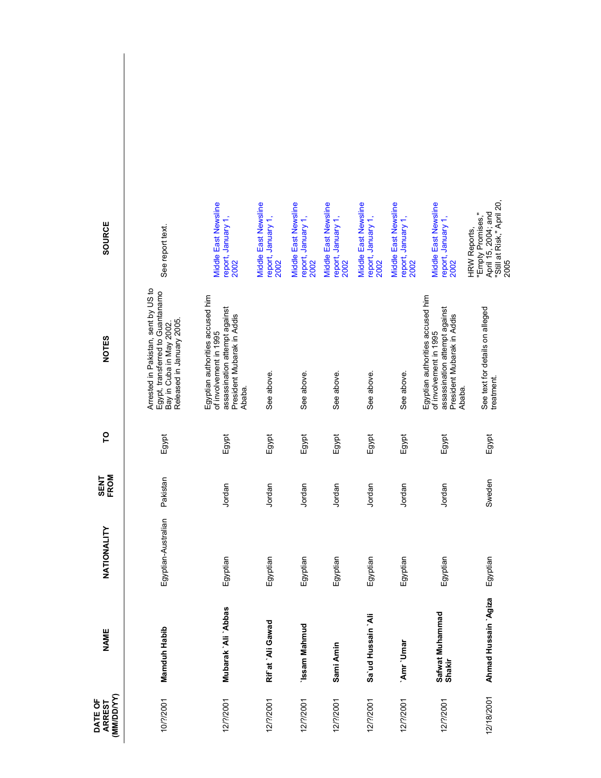| SOURCE                                 | See report text.                                                                                                                 | <b>Middle East Newsline</b><br>report, January 1,<br>2002                                                                           | <b>Middle East Newsline</b><br>report, January 1,<br>2002 | <b>Middle East Newsline</b><br>report, January 1,<br>2002 | <b>Middle East Newsline</b><br>report, January 1,<br>2002 | <b>Middle East Newsline</b><br>report, January 1,<br>2002 | <b>Middle East Newsline</b><br>report, January 1,<br>2002 | <b>Middle East Newsline</b><br>report, January 1,<br>2002                                                                           | "Still at Risk," April 20,<br>April 15, 2004; and<br>"Empty Promises,"<br>HRW Reports,<br>2005 |
|----------------------------------------|----------------------------------------------------------------------------------------------------------------------------------|-------------------------------------------------------------------------------------------------------------------------------------|-----------------------------------------------------------|-----------------------------------------------------------|-----------------------------------------------------------|-----------------------------------------------------------|-----------------------------------------------------------|-------------------------------------------------------------------------------------------------------------------------------------|------------------------------------------------------------------------------------------------|
| <b>NOTES</b>                           | Arrested in Pakistan, sent by US to<br>Egypt, transferred to Guantanamo<br>Released in January 2005.<br>Bay in Cuba in May 2002. | Egyptian authorities accused him<br>assassination attempt against<br>President Mubarak in Addis<br>of involvement in 1995<br>Ababa. | See above.                                                | See above.                                                | See above.                                                | See above.                                                | See above.                                                | Egyptian authorities accused him<br>assassination attempt against<br>President Mubarak in Addis<br>of involvement in 1995<br>Ababa. | See text for details on alleged<br>treatment                                                   |
| p                                      | Egypt                                                                                                                            | Egypt                                                                                                                               | Egypt                                                     | Egypt                                                     | Egypt                                                     | Egypt                                                     | Egypt                                                     | Egypt                                                                                                                               | Egypt                                                                                          |
| SENT<br>FROM                           | Pakistan                                                                                                                         | Jordan                                                                                                                              | Jordan                                                    | Jordan                                                    | Jordan                                                    | Jordan                                                    | Jordan                                                    | Jordan                                                                                                                              | Sweden                                                                                         |
| NATIONALITY                            | Egyptian-Australian                                                                                                              | Egyptian                                                                                                                            | Egyptian                                                  | Egyptian                                                  | Egyptian                                                  | Egyptian                                                  | Egyptian                                                  | Egyptian                                                                                                                            | Egyptian                                                                                       |
| <b>NAME</b>                            | Mamduh Habib                                                                                                                     | Mubarak `Ali `Abbas                                                                                                                 | Rifat `Ali Gawad                                          | 'Issam Mahmud                                             | Sami Amin                                                 | Sa'ud Hussain 'Ali                                        | 'Amr' 'Umar                                               | Safwat Muhammad<br>Shakir                                                                                                           | Ahmad Hussain `Agiza                                                                           |
| (MM/DD/YY)<br>DATE OF<br><b>ARREST</b> | 10/?/2001                                                                                                                        | 12/?/2001                                                                                                                           | 12/?/2001                                                 | 12/?/2001                                                 | 12/?/2001                                                 | 12/?/2001                                                 | 12/?/2001                                                 | 12/?/2001                                                                                                                           | 12/18/2001                                                                                     |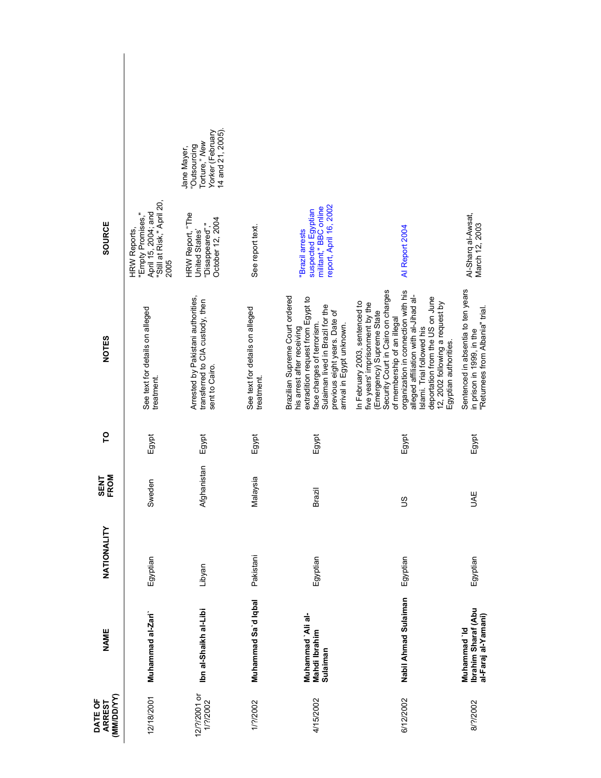|                                        |                                                                                                       | 14 and 21, 2005)<br>Yorker (February<br>Torture," New<br>"Outsourcing<br>Jane Mayer,     |                                              |                                                                                                                                                                                                                                    |                                                                                                                                                                                                                                                                                                                                                                                |                                                                                                   |
|----------------------------------------|-------------------------------------------------------------------------------------------------------|------------------------------------------------------------------------------------------|----------------------------------------------|------------------------------------------------------------------------------------------------------------------------------------------------------------------------------------------------------------------------------------|--------------------------------------------------------------------------------------------------------------------------------------------------------------------------------------------------------------------------------------------------------------------------------------------------------------------------------------------------------------------------------|---------------------------------------------------------------------------------------------------|
| SOURCE                                 | "Still at Risk," April 20,<br>April 15, 2004; and<br>"Empty Promises,"<br><b>HRW Reports,</b><br>2005 | HRW Report, "The<br>October 12, 2004<br>"Disappeared","<br>United States'                | See report text.                             | report, April 16, 2002<br>militant," BBC online<br>suspected Egyptian<br>'Brazil arrests                                                                                                                                           | AI Report 2004                                                                                                                                                                                                                                                                                                                                                                 | Al-Sharq al-Awsat,<br>March 12, 2003                                                              |
| <b>NOTES</b>                           | See text for details on alleged<br>treatment.                                                         | Arrested by Pakistani authorities,<br>transferred to CIA custody, then<br>sent to Cairo. | See text for details on alleged<br>treatment | Brazilian Supreme Court ordered<br>extradition request from Egypt to<br>Sulaiman lived in Brazil for the<br>previous eight years. Date of<br>face charges of terrorism.<br>arrival in Egypt unknown.<br>his arrest after receiving | Security Court in Cairo on charges<br>organization in connection with his<br>alleged affiliation with al-Jihad al-<br>deportation from the US on June<br>In February 2003, sentenced to<br>12, 2002 following a request by<br>five years' imprisonment by the<br>Emergency) Supreme State<br>of membership of an illegal<br>slami. Trial followed his<br>Egyptian authorities. | Sentenced in absentia to ten years<br>"Returnees from Albania" trial<br>in prison in 1999, in the |
| ဥ                                      | Egypt                                                                                                 | Egypt                                                                                    | Egypt                                        | Egypt                                                                                                                                                                                                                              | Egypt                                                                                                                                                                                                                                                                                                                                                                          | Egypt                                                                                             |
| <b>FROM</b><br><b>SENT</b>             | Sweden                                                                                                | Afghanistan                                                                              | Malaysia                                     | Brazil                                                                                                                                                                                                                             | <b>SC</b>                                                                                                                                                                                                                                                                                                                                                                      | <b>UAE</b>                                                                                        |
| NATIONALITY                            | Egyptian                                                                                              | Libyan                                                                                   | Pakistani                                    | Egyptian                                                                                                                                                                                                                           | Egyptian                                                                                                                                                                                                                                                                                                                                                                       | Egyptian                                                                                          |
| NAME                                   | Muhammad al-Zari                                                                                      | Ibn al-Shaikh al-Libi                                                                    | Muhammad Sa'd Iqbal                          | Muhammad `Ali al-<br>Mahdi Ibrahim<br>Sulaiman                                                                                                                                                                                     | Nabil Ahmad Sulaiman                                                                                                                                                                                                                                                                                                                                                           | Ibrahim Sharaf (Abu<br>al-Faraj al-Yamani)<br>Muhammad 'Id                                        |
| (MM/DD/YY)<br>DATE OF<br><b>ARREST</b> | 12/18/2001                                                                                            | 12/?/2001 or<br>1/?/2002                                                                 | 1/?/2002                                     | 4/15/2002                                                                                                                                                                                                                          | 6/12/2002                                                                                                                                                                                                                                                                                                                                                                      | 8/?/2002                                                                                          |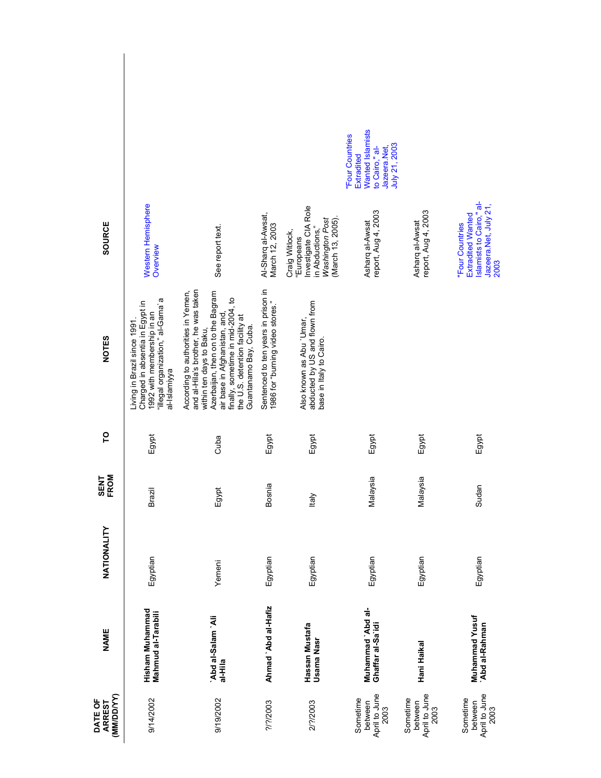|                                        |                                                                                                                                                   |                                                                                                                                                                                                                                                                             |                                                                         |                                                                                                                | <b>Wanted Islamists</b><br>"Four Countries<br>July 21, 2003<br>Jazeera.Net,<br>o Cairo," al-<br>Extradited |                                              |                                                                                                          |
|----------------------------------------|---------------------------------------------------------------------------------------------------------------------------------------------------|-----------------------------------------------------------------------------------------------------------------------------------------------------------------------------------------------------------------------------------------------------------------------------|-------------------------------------------------------------------------|----------------------------------------------------------------------------------------------------------------|------------------------------------------------------------------------------------------------------------|----------------------------------------------|----------------------------------------------------------------------------------------------------------|
| SOURCE                                 | Western Hemisphere<br>Overview                                                                                                                    | See report text.                                                                                                                                                                                                                                                            | Al-Sharq al-Awsat,<br>March 12, 2003                                    | Investigate CIA Role<br>Washington Post<br>(March 13, 2005)<br>in Abductions,"<br>Craig Witlock,<br>"Europeans | report, Aug 4, 2003<br>Asharq al-Awsat                                                                     | report, Aug 4, 2003<br>Asharq al-Awsat       | Islamists to Cairo," al-<br>Jazeera.Net, July 21,<br><b>Extradited Wanted</b><br>"Four Countries<br>2003 |
| <b>NOTES</b>                           | "illegal organization," al-Gama'a<br>Charged in absentia in Egypt in<br>1992 with membership in an<br>iving in Brazil since 1991.<br>al-Islamiyya | and al-Hila's brother, he was taken<br>According to authorities in Yemen,<br>Azerbaijan, then on to the Bagram<br>finally, sometime in mid-2004, to<br>air base in Afghanistan, and,<br>the U.S. detention facility at<br>Guantanamo Bay, Cuba.<br>within ten days to Baku, | Sentenced to ten years in prison in<br>1986 for "burning video stores." | abducted by US and flown from<br>Also known as Abu 'Umar,<br>base in Italy to Cairo.                           |                                                                                                            |                                              |                                                                                                          |
| p                                      | Egypt                                                                                                                                             | Cuba                                                                                                                                                                                                                                                                        | Egypt                                                                   | Egypt                                                                                                          | Egypt                                                                                                      | Egypt                                        | Egypt                                                                                                    |
| <b>SENT</b><br>FROM                    | Brazil                                                                                                                                            | Egypt                                                                                                                                                                                                                                                                       | Bosnia                                                                  | <b>Italy</b>                                                                                                   | Malaysia                                                                                                   | Malaysia                                     | Sudan                                                                                                    |
| NATIONALITY                            | Egyptian                                                                                                                                          | Yemeni                                                                                                                                                                                                                                                                      | Egyptian                                                                | Egyptian                                                                                                       | Egyptian                                                                                                   | Egyptian                                     | Egyptian                                                                                                 |
| NAME                                   | Hisham Muhammad<br>Mahmud al-Tarabili                                                                                                             | 'Abd al-Salam' Ali<br>al-Hila                                                                                                                                                                                                                                               | Ahmad `Abd al-Hafiz                                                     | Hassan Mustafa<br><b>Usama Nasr</b>                                                                            | Muhammad `Abd al-<br>Ghaffar al-Sa'idi                                                                     | Hani Haikal                                  | Muhammad Yusuf<br>'Abd al-Rahman                                                                         |
| (MM/DD/YY)<br>DATE OF<br><b>ARREST</b> | 9/14/2002                                                                                                                                         | 9/19/2002                                                                                                                                                                                                                                                                   | 2/7/2003                                                                | 2/?/2003                                                                                                       | April to June<br>Sometime<br>between<br>2003                                                               | April to June<br>Sometime<br>between<br>2003 | April to June<br>Sometime<br>between<br>2003                                                             |